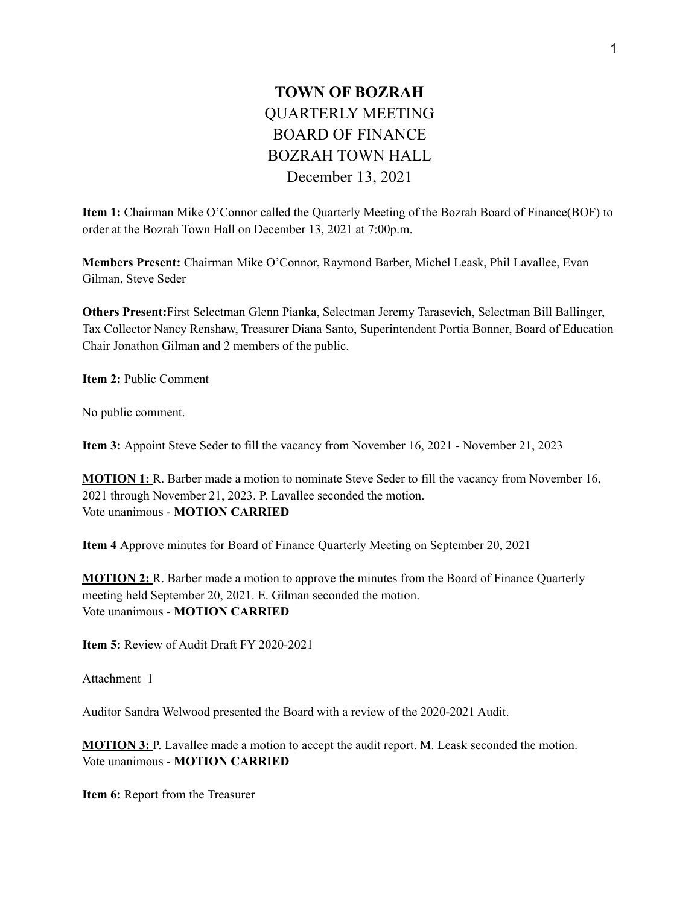## **TOWN OF BOZRAH** QUARTERLY MEETING BOARD OF FINANCE BOZRAH TOWN HALL December 13, 2021

**Item 1:** Chairman Mike O'Connor called the Quarterly Meeting of the Bozrah Board of Finance(BOF) to order at the Bozrah Town Hall on December 13, 2021 at 7:00p.m.

**Members Present:** Chairman Mike O'Connor, Raymond Barber, Michel Leask, Phil Lavallee, Evan Gilman, Steve Seder

**Others Present:**First Selectman Glenn Pianka, Selectman Jeremy Tarasevich, Selectman Bill Ballinger, Tax Collector Nancy Renshaw, Treasurer Diana Santo, Superintendent Portia Bonner, Board of Education Chair Jonathon Gilman and 2 members of the public.

**Item 2:** Public Comment

No public comment.

**Item 3:** Appoint Steve Seder to fill the vacancy from November 16, 2021 - November 21, 2023

**MOTION 1:** R. Barber made a motion to nominate Steve Seder to fill the vacancy from November 16, 2021 through November 21, 2023. P. Lavallee seconded the motion. Vote unanimous - **MOTION CARRIED**

**Item 4** Approve minutes for Board of Finance Quarterly Meeting on September 20, 2021

**MOTION 2:** R. Barber made a motion to approve the minutes from the Board of Finance Quarterly meeting held September 20, 2021. E. Gilman seconded the motion. Vote unanimous - **MOTION CARRIED**

**Item 5:** Review of Audit Draft FY 2020-2021

Attachment 1

Auditor Sandra Welwood presented the Board with a review of the 2020-2021 Audit.

**MOTION 3:** P. Lavallee made a motion to accept the audit report. M. Leask seconded the motion. Vote unanimous - **MOTION CARRIED**

**Item 6:** Report from the Treasurer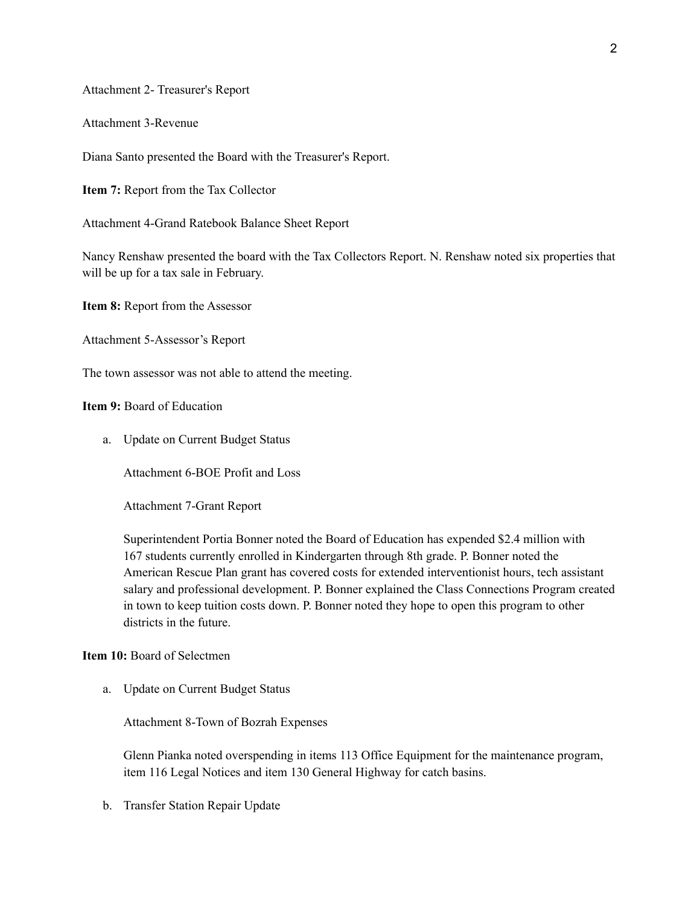Attachment 2- Treasurer's Report

Attachment 3-Revenue

Diana Santo presented the Board with the Treasurer's Report.

**Item 7:** Report from the Tax Collector

Attachment 4-Grand Ratebook Balance Sheet Report

Nancy Renshaw presented the board with the Tax Collectors Report. N. Renshaw noted six properties that will be up for a tax sale in February.

**Item 8:** Report from the Assessor

Attachment 5-Assessor's Report

The town assessor was not able to attend the meeting.

**Item 9:** Board of Education

a. Update on Current Budget Status

Attachment 6-BOE Profit and Loss

Attachment 7-Grant Report

Superintendent Portia Bonner noted the Board of Education has expended \$2.4 million with 167 students currently enrolled in Kindergarten through 8th grade. P. Bonner noted the American Rescue Plan grant has covered costs for extended interventionist hours, tech assistant salary and professional development. P. Bonner explained the Class Connections Program created in town to keep tuition costs down. P. Bonner noted they hope to open this program to other districts in the future.

## **Item 10:** Board of Selectmen

a. Update on Current Budget Status

Attachment 8-Town of Bozrah Expenses

Glenn Pianka noted overspending in items 113 Office Equipment for the maintenance program, item 116 Legal Notices and item 130 General Highway for catch basins.

b. Transfer Station Repair Update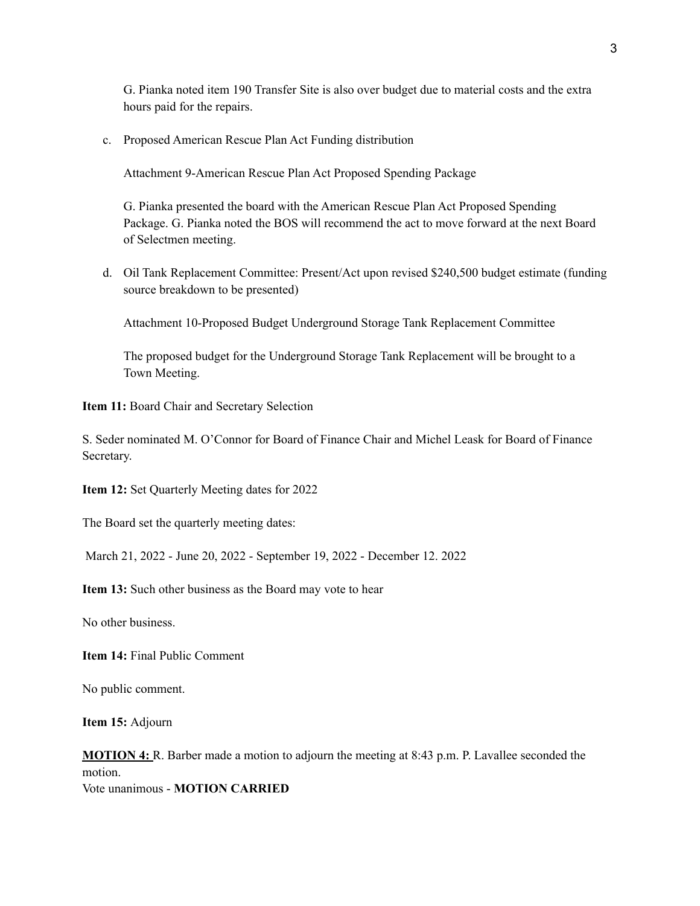G. Pianka noted item 190 Transfer Site is also over budget due to material costs and the extra hours paid for the repairs.

c. Proposed American Rescue Plan Act Funding distribution

Attachment 9-American Rescue Plan Act Proposed Spending Package

G. Pianka presented the board with the American Rescue Plan Act Proposed Spending Package. G. Pianka noted the BOS will recommend the act to move forward at the next Board of Selectmen meeting.

d. Oil Tank Replacement Committee: Present/Act upon revised \$240,500 budget estimate (funding source breakdown to be presented)

Attachment 10-Proposed Budget Underground Storage Tank Replacement Committee

The proposed budget for the Underground Storage Tank Replacement will be brought to a Town Meeting.

**Item 11:** Board Chair and Secretary Selection

S. Seder nominated M. O'Connor for Board of Finance Chair and Michel Leask for Board of Finance Secretary.

**Item 12:** Set Quarterly Meeting dates for 2022

The Board set the quarterly meeting dates:

March 21, 2022 - June 20, 2022 - September 19, 2022 - December 12. 2022

**Item 13:** Such other business as the Board may vote to hear

No other business.

**Item 14:** Final Public Comment

No public comment.

**Item 15:** Adjourn

**MOTION 4:** R. Barber made a motion to adjourn the meeting at 8:43 p.m. P. Lavallee seconded the motion. Vote unanimous - **MOTION CARRIED**